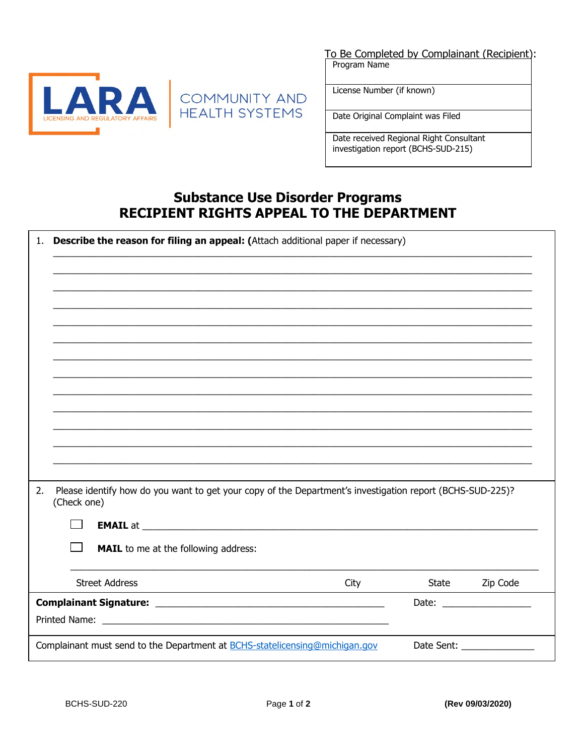



To Be Completed by Complainant (Recipient): Program Name

License Number (if known)

Date Original Complaint was Filed

Date received Regional Right Consultant investigation report (BCHS-SUD-215)

## **Substance Use Disorder Programs RECIPIENT RIGHTS APPEAL TO THE DEPARTMENT**

| Please identify how do you want to get your copy of the Department's investigation report (BCHS-SUD-225)?<br>(Check one)                                                                                                                  |      |       |          |
|-------------------------------------------------------------------------------------------------------------------------------------------------------------------------------------------------------------------------------------------|------|-------|----------|
|                                                                                                                                                                                                                                           |      |       |          |
| <b>EMAIL</b> at <u>each contract and a series of the series of the series of the series of the series of the series of the series of the series of the series of the series of the series of the series of the series of the series o</u> |      |       |          |
| <b>MAIL</b> to me at the following address:                                                                                                                                                                                               |      |       |          |
|                                                                                                                                                                                                                                           |      |       |          |
| <b>Street Address</b>                                                                                                                                                                                                                     | City | State | Zip Code |
|                                                                                                                                                                                                                                           |      |       |          |
|                                                                                                                                                                                                                                           |      |       |          |
|                                                                                                                                                                                                                                           |      |       |          |